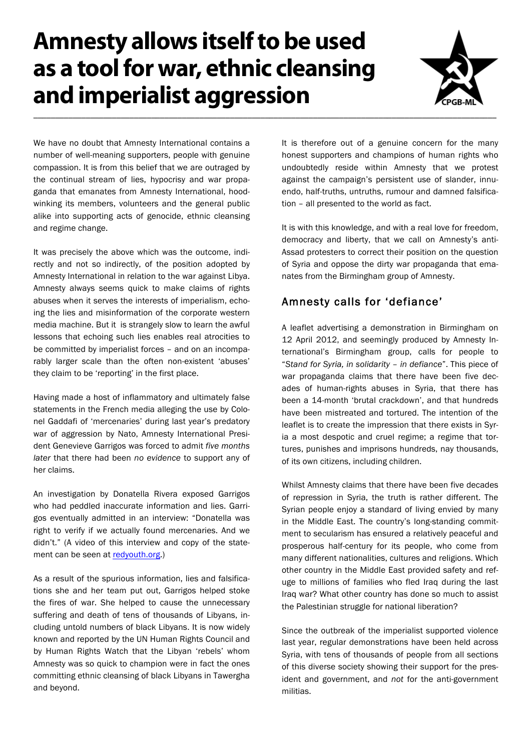# **Amnesty allows itself to be used as a tool for war, ethnic cleansing and imperialist aggression**



We have no doubt that Amnesty International contains a number of well-meaning supporters, people with genuine compassion. It is from this belief that we are outraged by the continual stream of lies, hypocrisy and war propaganda that emanates from Amnesty International, hoodwinking its members, volunteers and the general public alike into supporting acts of genocide, ethnic cleansing and regime change.

It was precisely the above which was the outcome, indirectly and not so indirectly, of the position adopted by Amnesty International in relation to the war against Libya. Amnesty always seems quick to make claims of rights abuses when it serves the interests of imperialism, echoing the lies and misinformation of the corporate western media machine. But it is strangely slow to learn the awful lessons that echoing such lies enables real atrocities to be committed by imperialist forces – and on an incomparably larger scale than the often non-existent 'abuses' they claim to be 'reporting' in the first place.

Having made a host of inflammatory and ultimately false statements in the French media alleging the use by Colonel Gaddafi of 'mercenaries' during last year's predatory war of aggression by Nato, Amnesty International President Genevieve Garrigos was forced to admit *five months later* that there had been *no evidence* to support any of her claims.

An investigation by Donatella Rivera exposed Garrigos who had peddled inaccurate information and lies. Garrigos eventually admitted in an interview: "Donatella was right to verify if we actually found mercenaries. And we didn't." (A video of this interview and copy of the statement can be seen at redyouth.org.)

As a result of the spurious information, lies and falsifications she and her team put out, Garrigos helped stoke the fires of war. She helped to cause the unnecessary suffering and death of tens of thousands of Libyans, including untold numbers of black Libyans. It is now widely known and reported by the UN Human Rights Council and by Human Rights Watch that the Libyan 'rebels' whom Amnesty was so quick to champion were in fact the ones committing ethnic cleansing of black Libyans in Tawergha and beyond.

It is therefore out of a genuine concern for the many honest supporters and champions of human rights who undoubtedly reside within Amnesty that we protest against the campaign's persistent use of slander, innuendo, half-truths, untruths, rumour and damned falsification – all presented to the world as fact.

It is with this knowledge, and with a real love for freedom, democracy and liberty, that we call on Amnesty's anti-Assad protesters to correct their position on the question of Syria and oppose the dirty war propaganda that emanates from the Birmingham group of Amnesty.

## Amnesty calls for 'defiance'

A leaflet advertising a demonstration in Birmingham on 12 April 2012, and seemingly produced by Amnesty International's Birmingham group, calls for people to "*Stand for Syria, in solidarity – in defiance*". This piece of war propaganda claims that there have been five decades of human-rights abuses in Syria, that there has been a 14-month 'brutal crackdown', and that hundreds have been mistreated and tortured. The intention of the leaflet is to create the impression that there exists in Syria a most despotic and cruel regime; a regime that tortures, punishes and imprisons hundreds, nay thousands, of its own citizens, including children.

Whilst Amnesty claims that there have been five decades of repression in Syria, the truth is rather different. The Syrian people enjoy a standard of living envied by many in the Middle East. The country's long-standing commitment to secularism has ensured a relatively peaceful and prosperous half-century for its people, who come from many different nationalities, cultures and religions. Which other country in the Middle East provided safety and refuge to millions of families who fled Iraq during the last Iraq war? What other country has done so much to assist the Palestinian struggle for national liberation?

Since the outbreak of the imperialist supported violence last year, regular demonstrations have been held across Syria, with tens of thousands of people from all sections of this diverse society showing their support for the president and government, and *not* for the anti-government militias.